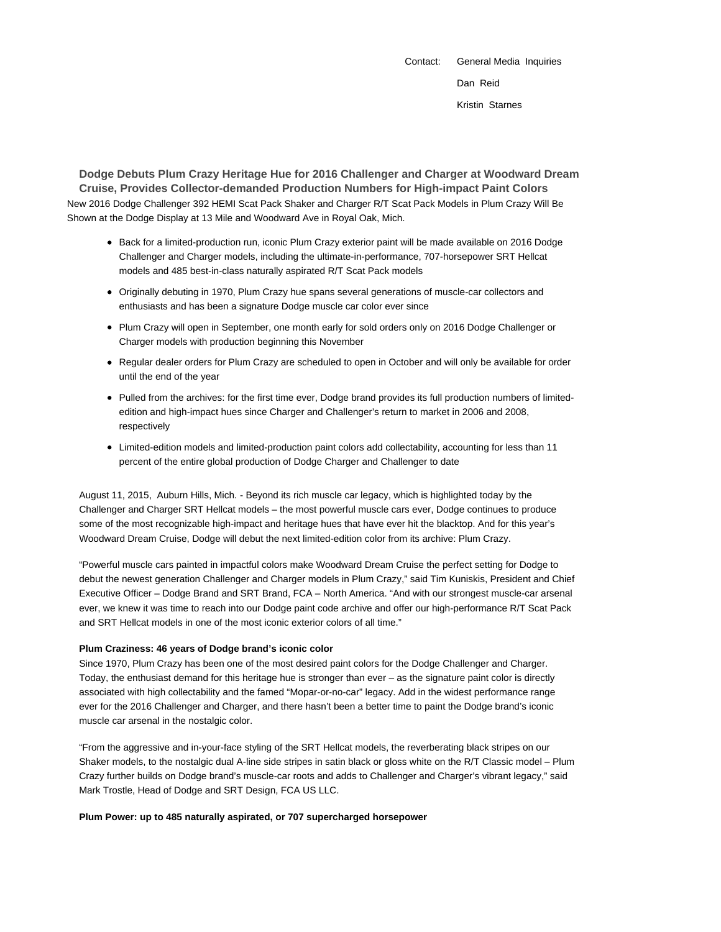Contact: General Media Inquiries Dan Reid Kristin Starnes

**Dodge Debuts Plum Crazy Heritage Hue for 2016 Challenger and Charger at Woodward Dream Cruise, Provides Collector-demanded Production Numbers for High-impact Paint Colors** New 2016 Dodge Challenger 392 HEMI Scat Pack Shaker and Charger R/T Scat Pack Models in Plum Crazy Will Be Shown at the Dodge Display at 13 Mile and Woodward Ave in Royal Oak, Mich.

- Back for a limited-production run, iconic Plum Crazy exterior paint will be made available on 2016 Dodge Challenger and Charger models, including the ultimate-in-performance, 707-horsepower SRT Hellcat models and 485 best-in-class naturally aspirated R/T Scat Pack models
- Originally debuting in 1970, Plum Crazy hue spans several generations of muscle-car collectors and enthusiasts and has been a signature Dodge muscle car color ever since
- Plum Crazy will open in September, one month early for sold orders only on 2016 Dodge Challenger or Charger models with production beginning this November
- Regular dealer orders for Plum Crazy are scheduled to open in October and will only be available for order until the end of the year
- Pulled from the archives: for the first time ever, Dodge brand provides its full production numbers of limitededition and high-impact hues since Charger and Challenger's return to market in 2006 and 2008, respectively
- Limited-edition models and limited-production paint colors add collectability, accounting for less than 11 percent of the entire global production of Dodge Charger and Challenger to date

August 11, 2015, Auburn Hills, Mich. - Beyond its rich muscle car legacy, which is highlighted today by the Challenger and Charger SRT Hellcat models – the most powerful muscle cars ever, Dodge continues to produce some of the most recognizable high-impact and heritage hues that have ever hit the blacktop. And for this year's Woodward Dream Cruise, Dodge will debut the next limited-edition color from its archive: Plum Crazy.

"Powerful muscle cars painted in impactful colors make Woodward Dream Cruise the perfect setting for Dodge to debut the newest generation Challenger and Charger models in Plum Crazy," said Tim Kuniskis, President and Chief Executive Officer – Dodge Brand and SRT Brand, FCA – North America. "And with our strongest muscle-car arsenal ever, we knew it was time to reach into our Dodge paint code archive and offer our high-performance R/T Scat Pack and SRT Hellcat models in one of the most iconic exterior colors of all time."

### **Plum Craziness: 46 years of Dodge brand's iconic color**

Since 1970, Plum Crazy has been one of the most desired paint colors for the Dodge Challenger and Charger. Today, the enthusiast demand for this heritage hue is stronger than ever – as the signature paint color is directly associated with high collectability and the famed "Mopar-or-no-car" legacy. Add in the widest performance range ever for the 2016 Challenger and Charger, and there hasn't been a better time to paint the Dodge brand's iconic muscle car arsenal in the nostalgic color.

"From the aggressive and in-your-face styling of the SRT Hellcat models, the reverberating black stripes on our Shaker models, to the nostalgic dual A-line side stripes in satin black or gloss white on the R/T Classic model – Plum Crazy further builds on Dodge brand's muscle-car roots and adds to Challenger and Charger's vibrant legacy," said Mark Trostle, Head of Dodge and SRT Design, FCA US LLC.

### **Plum Power: up to 485 naturally aspirated, or 707 supercharged horsepower**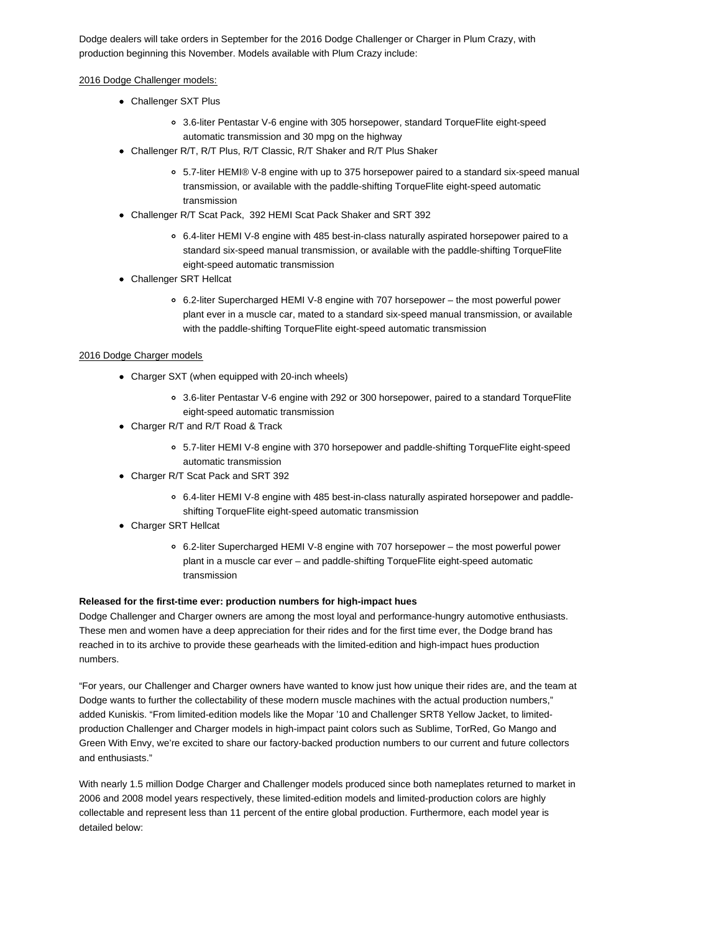Dodge dealers will take orders in September for the 2016 Dodge Challenger or Charger in Plum Crazy, with production beginning this November. Models available with Plum Crazy include:

## 2016 Dodge Challenger models:

- Challenger SXT Plus
	- 3.6-liter Pentastar V-6 engine with 305 horsepower, standard TorqueFlite eight-speed automatic transmission and 30 mpg on the highway
- Challenger R/T, R/T Plus, R/T Classic, R/T Shaker and R/T Plus Shaker
	- 5.7-liter HEMI® V-8 engine with up to 375 horsepower paired to a standard six-speed manual transmission, or available with the paddle-shifting TorqueFlite eight-speed automatic transmission
- Challenger R/T Scat Pack, 392 HEMI Scat Pack Shaker and SRT 392
	- 6.4-liter HEMI V-8 engine with 485 best-in-class naturally aspirated horsepower paired to a standard six-speed manual transmission, or available with the paddle-shifting TorqueFlite eight-speed automatic transmission
- Challenger SRT Hellcat
	- 6.2-liter Supercharged HEMI V-8 engine with 707 horsepower the most powerful power plant ever in a muscle car, mated to a standard six-speed manual transmission, or available with the paddle-shifting TorqueFlite eight-speed automatic transmission

## 2016 Dodge Charger models

- Charger SXT (when equipped with 20-inch wheels)
	- 3.6-liter Pentastar V-6 engine with 292 or 300 horsepower, paired to a standard TorqueFlite eight-speed automatic transmission
- Charger R/T and R/T Road & Track
	- 5.7-liter HEMI V-8 engine with 370 horsepower and paddle-shifting TorqueFlite eight-speed automatic transmission
- Charger R/T Scat Pack and SRT 392
	- 6.4-liter HEMI V-8 engine with 485 best-in-class naturally aspirated horsepower and paddleshifting TorqueFlite eight-speed automatic transmission
- Charger SRT Hellcat
	- 6.2-liter Supercharged HEMI V-8 engine with 707 horsepower the most powerful power plant in a muscle car ever – and paddle-shifting TorqueFlite eight-speed automatic transmission

### **Released for the first-time ever: production numbers for high-impact hues**

Dodge Challenger and Charger owners are among the most loyal and performance-hungry automotive enthusiasts. These men and women have a deep appreciation for their rides and for the first time ever, the Dodge brand has reached in to its archive to provide these gearheads with the limited-edition and high-impact hues production numbers.

"For years, our Challenger and Charger owners have wanted to know just how unique their rides are, and the team at Dodge wants to further the collectability of these modern muscle machines with the actual production numbers," added Kuniskis. "From limited-edition models like the Mopar '10 and Challenger SRT8 Yellow Jacket, to limitedproduction Challenger and Charger models in high-impact paint colors such as Sublime, TorRed, Go Mango and Green With Envy, we're excited to share our factory-backed production numbers to our current and future collectors and enthusiasts."

With nearly 1.5 million Dodge Charger and Challenger models produced since both nameplates returned to market in 2006 and 2008 model years respectively, these limited-edition models and limited-production colors are highly collectable and represent less than 11 percent of the entire global production. Furthermore, each model year is detailed below: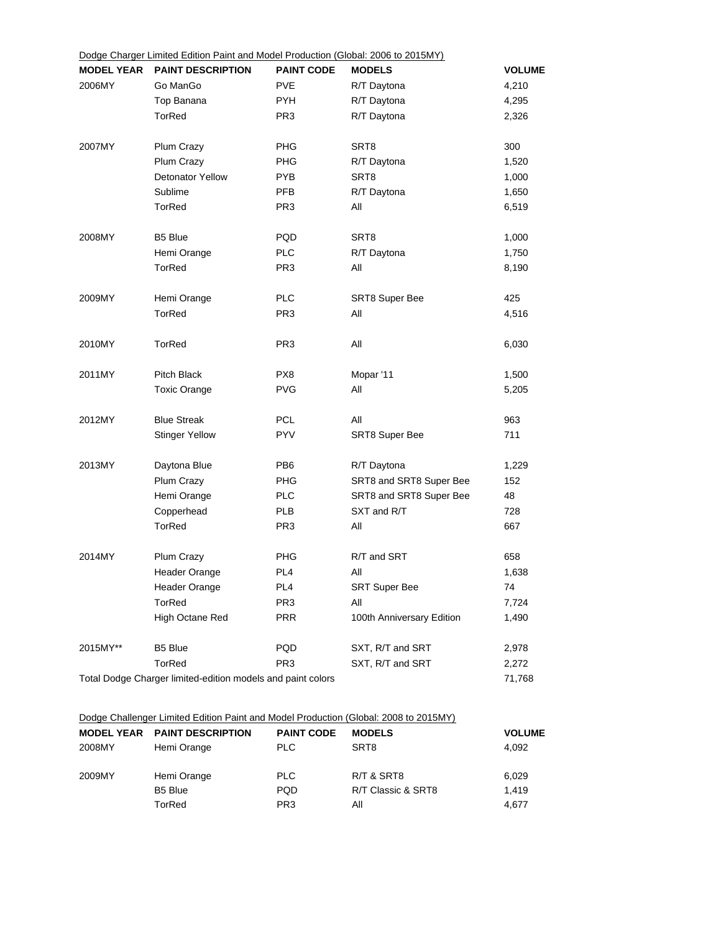| Dougo Oriangor<br><b>MODEL YEAR</b>                         | $2.1111000$ $2.111011$ $3.1110110$<br><b>PAINT DESCRIPTION</b> | . <b>.</b><br><b>PAINT CODE</b> | <b>MODELS</b>             | <b>VOLUME</b> |
|-------------------------------------------------------------|----------------------------------------------------------------|---------------------------------|---------------------------|---------------|
| 2006MY                                                      | Go ManGo                                                       | <b>PVE</b>                      | R/T Daytona               | 4,210         |
|                                                             | Top Banana                                                     | <b>PYH</b>                      | R/T Daytona               | 4,295         |
|                                                             | <b>TorRed</b>                                                  | PR <sub>3</sub>                 | R/T Daytona               | 2,326         |
| 2007MY                                                      | <b>Plum Crazy</b>                                              | <b>PHG</b>                      | SRT8                      | 300           |
|                                                             | Plum Crazy                                                     | PHG                             | R/T Daytona               | 1,520         |
|                                                             | <b>Detonator Yellow</b>                                        | <b>PYB</b>                      | SRT8                      | 1,000         |
|                                                             | Sublime                                                        | <b>PFB</b>                      | R/T Daytona               | 1,650         |
|                                                             | <b>TorRed</b>                                                  | PR <sub>3</sub>                 | All                       | 6,519         |
| 2008MY                                                      | B5 Blue                                                        | PQD                             | SRT <sub>8</sub>          | 1,000         |
|                                                             | Hemi Orange                                                    | <b>PLC</b>                      | R/T Daytona               | 1,750         |
|                                                             | TorRed                                                         | PR <sub>3</sub>                 | All                       | 8,190         |
| 2009MY                                                      | Hemi Orange                                                    | <b>PLC</b>                      | <b>SRT8 Super Bee</b>     | 425           |
|                                                             | <b>TorRed</b>                                                  | PR <sub>3</sub>                 | All                       | 4,516         |
| 2010MY                                                      | <b>TorRed</b>                                                  | PR <sub>3</sub>                 | All                       | 6,030         |
| 2011MY                                                      | Pitch Black                                                    | PX8                             | Mopar '11                 | 1,500         |
|                                                             | <b>Toxic Orange</b>                                            | <b>PVG</b>                      | All                       | 5,205         |
| 2012MY                                                      | <b>Blue Streak</b>                                             | PCL                             | All                       | 963           |
|                                                             | <b>Stinger Yellow</b>                                          | <b>PYV</b>                      | <b>SRT8 Super Bee</b>     | 711           |
| 2013MY                                                      | Daytona Blue                                                   | PB <sub>6</sub>                 | R/T Daytona               | 1,229         |
|                                                             | Plum Crazy                                                     | <b>PHG</b>                      | SRT8 and SRT8 Super Bee   | 152           |
|                                                             | Hemi Orange                                                    | <b>PLC</b>                      | SRT8 and SRT8 Super Bee   | 48            |
|                                                             | Copperhead                                                     | PLB                             | SXT and R/T               | 728           |
|                                                             | <b>TorRed</b>                                                  | PR <sub>3</sub>                 | All                       | 667           |
| 2014MY                                                      | Plum Crazy                                                     | PHG                             | R/T and SRT               | 658           |
|                                                             | <b>Header Orange</b>                                           | PL <sub>4</sub>                 | All                       | 1,638         |
|                                                             | Header Orange                                                  | PL <sub>4</sub>                 | SRT Super Bee             | 74            |
|                                                             | TorRed                                                         | PR <sub>3</sub>                 | All                       | 7,724         |
|                                                             | High Octane Red                                                | <b>PRR</b>                      | 100th Anniversary Edition | 1,490         |
| 2015MY**                                                    | B5 Blue                                                        | PQD                             | SXT, R/T and SRT          | 2,978         |
|                                                             | TorRed                                                         | PR <sub>3</sub>                 | SXT, R/T and SRT          | 2,272         |
| Total Dodge Charger limited-edition models and paint colors |                                                                |                                 |                           |               |

# Dodge Challenger Limited Edition Paint and Model Production (Global: 2008 to 2015MY)

|        | <b>MODEL YEAR PAINT DESCRIPTION</b> | <b>PAINT CODE</b> | <b>MODELS</b>      | <b>VOLUME</b> |
|--------|-------------------------------------|-------------------|--------------------|---------------|
| 2008MY | Hemi Orange                         | PLC.              | SRT8               | 4.092         |
| 2009MY | Hemi Orange                         | PLC               | R/T & SRT8         | 6.029         |
|        | B <sub>5</sub> Blue                 | <b>PQD</b>        | R/T Classic & SRT8 | 1.419         |
|        | TorRed                              | PR <sub>3</sub>   | Αll                | 4.677         |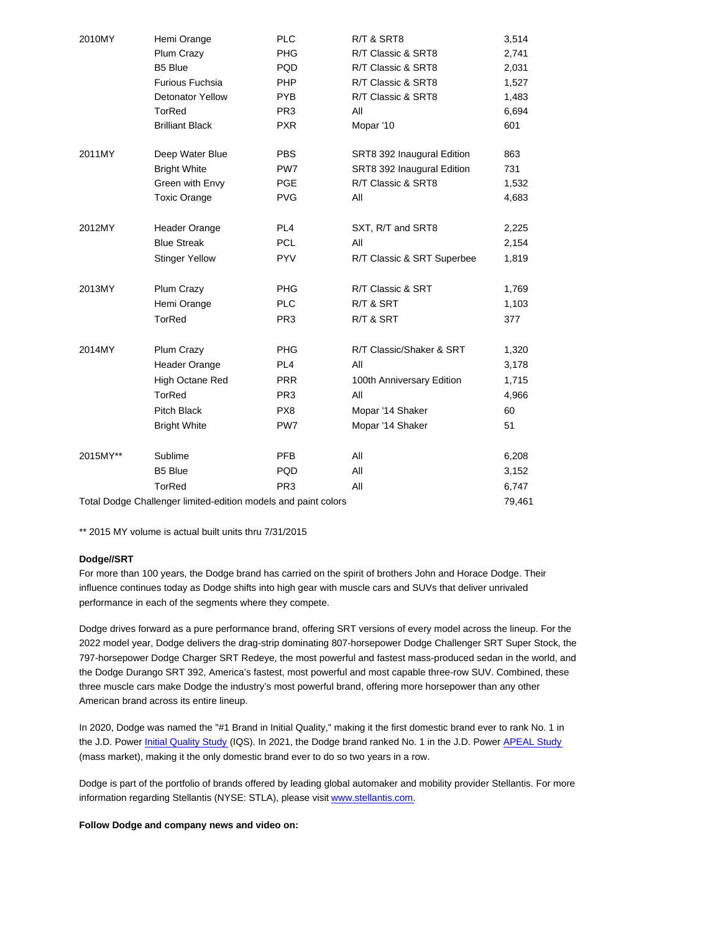| 2010MY                                                         | Hemi Orange             | <b>PLC</b>      | R/T & SRT8                 | 3,514  |
|----------------------------------------------------------------|-------------------------|-----------------|----------------------------|--------|
|                                                                | Plum Crazy              | PHG             | R/T Classic & SRT8         | 2,741  |
|                                                                | <b>B5 Blue</b>          | <b>PQD</b>      | R/T Classic & SRT8         | 2,031  |
|                                                                | <b>Furious Fuchsia</b>  | <b>PHP</b>      | R/T Classic & SRT8         | 1,527  |
|                                                                | <b>Detonator Yellow</b> | <b>PYB</b>      | R/T Classic & SRT8         | 1,483  |
|                                                                | <b>TorRed</b>           | PR <sub>3</sub> | All                        | 6,694  |
|                                                                | <b>Brilliant Black</b>  | <b>PXR</b>      | Mopar '10                  | 601    |
| 2011MY                                                         | Deep Water Blue         | <b>PBS</b>      | SRT8 392 Inaugural Edition | 863    |
|                                                                | <b>Bright White</b>     | PW <sub>7</sub> | SRT8 392 Inaugural Edition | 731    |
|                                                                | Green with Envy         | <b>PGE</b>      | R/T Classic & SRT8         | 1,532  |
|                                                                | <b>Toxic Orange</b>     | <b>PVG</b>      | All                        | 4,683  |
| 2012MY                                                         | Header Orange           | PL <sub>4</sub> | SXT, R/T and SRT8          | 2,225  |
|                                                                | <b>Blue Streak</b>      | <b>PCL</b>      | All                        | 2,154  |
|                                                                | <b>Stinger Yellow</b>   | <b>PYV</b>      | R/T Classic & SRT Superbee | 1,819  |
| 2013MY                                                         | <b>Plum Crazy</b>       | <b>PHG</b>      | R/T Classic & SRT          | 1,769  |
|                                                                | Hemi Orange             | <b>PLC</b>      | R/T & SRT                  | 1,103  |
|                                                                | <b>TorRed</b>           | PR <sub>3</sub> | R/T & SRT                  | 377    |
| 2014MY                                                         | Plum Crazy              | <b>PHG</b>      | R/T Classic/Shaker & SRT   | 1,320  |
|                                                                | <b>Header Orange</b>    | PL4             | All                        | 3,178  |
|                                                                | <b>High Octane Red</b>  | <b>PRR</b>      | 100th Anniversary Edition  | 1,715  |
|                                                                | <b>TorRed</b>           | PR <sub>3</sub> | All                        | 4,966  |
|                                                                | Pitch Black             | PX8             | Mopar '14 Shaker           | 60     |
|                                                                | <b>Bright White</b>     | PW7             | Mopar '14 Shaker           | 51     |
| 2015MY**                                                       | Sublime                 | <b>PFB</b>      | All                        | 6,208  |
|                                                                | B5 Blue                 | <b>PQD</b>      | All                        | 3,152  |
|                                                                | <b>TorRed</b>           | PR <sub>3</sub> | All                        | 6,747  |
| Total Dodge Challenger limited-edition models and paint colors |                         |                 |                            | 79,461 |

\*\* 2015 MY volume is actual built units thru 7/31/2015

## **Dodge//SRT**

For more than 100 years, the Dodge brand has carried on the spirit of brothers John and Horace Dodge. Their influence continues today as Dodge shifts into high gear with muscle cars and SUVs that deliver unrivaled performance in each of the segments where they compete.

Dodge drives forward as a pure performance brand, offering SRT versions of every model across the lineup. For the 2022 model year, Dodge delivers the drag-strip dominating 807-horsepower Dodge Challenger SRT Super Stock, the 797-horsepower Dodge Charger SRT Redeye, the most powerful and fastest mass-produced sedan in the world, and the Dodge Durango SRT 392, America's fastest, most powerful and most capable three-row SUV. Combined, these three muscle cars make Dodge the industry's most powerful brand, offering more horsepower than any other American brand across its entire lineup.

In 2020, Dodge was named the "#1 Brand in Initial Quality," making it the first domestic brand ever to rank No. 1 in the J.D. Power Initial Quality Study (IQS). In 2021, the Dodge brand ranked No. 1 in the J.D. Power APEAL Study (mass market), making it the only domestic brand ever to do so two years in a row.

Dodge is part of the portfolio of brands offered by leading global automaker and mobility provider Stellantis. For more information regarding Stellantis (NYSE: STLA), please visit www.stellantis.com.

**Follow Dodge and company news and video on:**